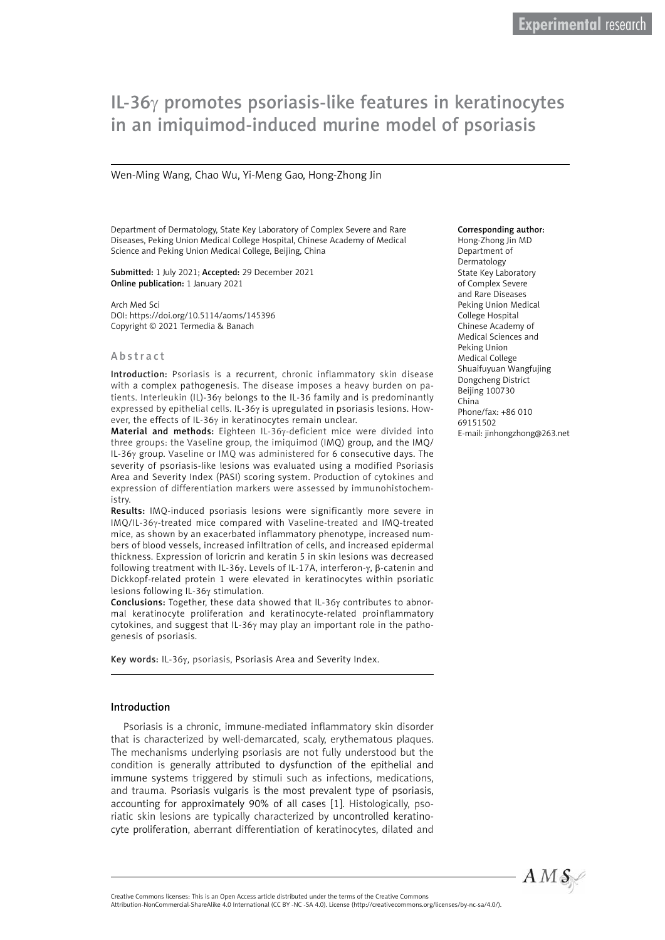# IL-36γ promotes psoriasis-like features in keratinocytes in an imiquimod-induced murine model of psoriasis

#### Wen-Ming Wang, Chao Wu, Yi-Meng Gao, Hong-Zhong Jin

Department of Dermatology, State Key Laboratory of Complex Severe and Rare Diseases, Peking Union Medical College Hospital, Chinese Academy of Medical Science and Peking Union Medical College, Beijing, China

Submitted: 1 July 2021; Accepted: 29 December 2021 Online publication: 1 January 2021

Arch Med Sci DOI: https://doi.org/10.5114/aoms/145396 Copyright © 2021 Termedia & Banach

#### Abstract

Introduction: Psoriasis is a recurrent, chronic inflammatory skin disease with a complex pathogenesis. The disease imposes a heavy burden on patients. Interleukin (IL)-36γ belongs to the IL-36 family and is predominantly expressed by epithelial cells. IL-36γ is upregulated in psoriasis lesions. However, the effects of IL-36γ in keratinocytes remain unclear.

Material and methods: Eighteen IL-36γ-deficient mice were divided into three groups: the Vaseline group, the imiquimod (IMQ) group, and the IMQ/ IL-36γ group. Vaseline or IMQ was administered for 6 consecutive days. The severity of psoriasis-like lesions was evaluated using a modified Psoriasis Area and Severity Index (PASI) scoring system. Production of cytokines and expression of differentiation markers were assessed by immunohistochemistry.

Results: IMQ-induced psoriasis lesions were significantly more severe in IMQ/IL-36γ-treated mice compared with Vaseline-treated and IMQ-treated mice, as shown by an exacerbated inflammatory phenotype, increased numbers of blood vessels, increased infiltration of cells, and increased epidermal thickness. Expression of loricrin and keratin 5 in skin lesions was decreased following treatment with IL-36γ. Levels of IL-17A, interferon-γ, β-catenin and Dickkopf-related protein 1 were elevated in keratinocytes within psoriatic lesions following IL-36γ stimulation.

Conclusions: Together, these data showed that IL-36γ contributes to abnormal keratinocyte proliferation and keratinocyte-related proinflammatory cytokines, and suggest that IL-36γ may play an important role in the pathogenesis of psoriasis.

Key words: IL-36γ, psoriasis, Psoriasis Area and Severity Index.

#### Introduction

Psoriasis is a chronic, immune-mediated inflammatory skin disorder that is characterized by well-demarcated, scaly, erythematous plaques. The mechanisms underlying psoriasis are not fully understood but the condition is generally attributed to dysfunction of the epithelial and immune systems triggered by stimuli such as infections, medications, and trauma. Psoriasis vulgaris is the most prevalent type of psoriasis, accounting for approximately 90% of all cases [1]. Histologically, psoriatic skin lesions are typically characterized by uncontrolled keratinocyte proliferation, aberrant differentiation of keratinocytes, dilated and

#### Corresponding author:

Hong-Zhong Jin MD Department of Dermatology State Key Laboratory of Complex Severe and Rare Diseases Peking Union Medical College Hospital Chinese Academy of Medical Sciences and Peking Union Medical College Shuaifuyuan Wangfujing Dongcheng District Beijing 100730 China Phone/fax: +86 010 69151502 E-mail: jinhongzhong@263.net



Attribution-NonCommercial-ShareAlike 4.0 International (CC BY -NC -SA 4.0). License (http://creativecommons.org/licenses/by-nc-sa/4.0/).

Creative Commons licenses: This is an Open Access article distributed under the terms of the Creative Commons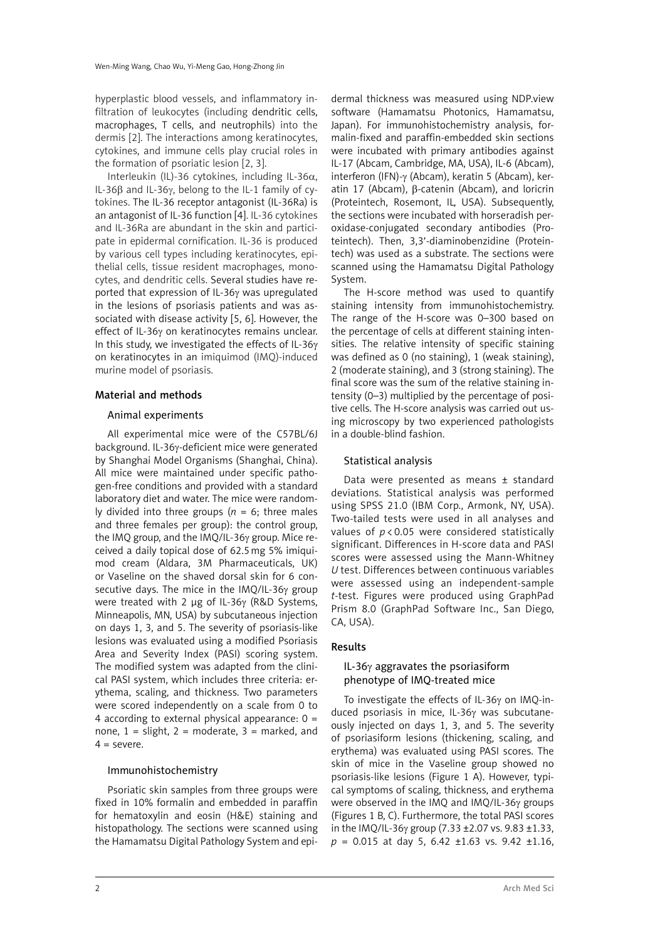hyperplastic blood vessels, and inflammatory infiltration of leukocytes (including dendritic cells, macrophages, T cells, and neutrophils) into the dermis [2]. The interactions among keratinocytes, cytokines, and immune cells play crucial roles in the formation of psoriatic lesion [2, 3].

Interleukin (IL)-36 cytokines, including IL-36α, IL-36β and IL-36γ, belong to the IL-1 family of cytokines. The IL-36 receptor antagonist (IL-36Ra) is an antagonist of IL-36 function [4]. IL-36 cytokines and IL-36Ra are abundant in the skin and participate in epidermal cornification. IL-36 is produced by various cell types including keratinocytes, epithelial cells, tissue resident macrophages, monocytes, and dendritic cells. Several studies have reported that expression of IL-36γ was upregulated in the lesions of psoriasis patients and was associated with disease activity [5, 6]. However, the effect of IL-36γ on keratinocytes remains unclear. In this study, we investigated the effects of IL-36γ on keratinocytes in an imiquimod (IMQ)-induced murine model of psoriasis.

## Material and methods

#### Animal experiments

All experimental mice were of the C57BL/6J background. IL-36γ-deficient mice were generated by Shanghai Model Organisms (Shanghai, China). All mice were maintained under specific pathogen-free conditions and provided with a standard laboratory diet and water. The mice were randomly divided into three groups ( $n = 6$ ; three males and three females per group): the control group, the IMQ group, and the IMQ/IL-36γ group. Mice received a daily topical dose of 62.5mg 5% imiquimod cream (Aldara, 3M Pharmaceuticals, UK) or Vaseline on the shaved dorsal skin for 6 consecutive days. The mice in the IMQ/IL-36γ group were treated with 2 µg of IL-36γ (R&D Systems, Minneapolis, MN, USA) by subcutaneous injection on days 1, 3, and 5. The severity of psoriasis-like lesions was evaluated using a modified Psoriasis Area and Severity Index (PASI) scoring system. The modified system was adapted from the clinical PASI system, which includes three criteria: erythema, scaling, and thickness. Two parameters were scored independently on a scale from 0 to 4 according to external physical appearance:  $0 =$ none,  $1 =$  slight,  $2 =$  moderate,  $3 =$  marked, and  $4 =$ severe

## Immunohistochemistry

Psoriatic skin samples from three groups were fixed in 10% formalin and embedded in paraffin for hematoxylin and eosin (H&E) staining and histopathology. The sections were scanned using the Hamamatsu Digital Pathology System and epi-

dermal thickness was measured using NDP.view software (Hamamatsu Photonics, Hamamatsu, Japan). For immunohistochemistry analysis, formalin-fixed and paraffin-embedded skin sections were incubated with primary antibodies against IL-17 (Abcam, Cambridge, MA, USA), IL-6 (Abcam), interferon (IFN)-γ (Abcam), keratin 5 (Abcam), keratin 17 (Abcam), β-catenin (Abcam), and loricrin (Proteintech, Rosemont, IL, USA). Subsequently, the sections were incubated with horseradish peroxidase-conjugated secondary antibodies (Proteintech). Then, 3,3′-diaminobenzidine (Proteintech) was used as a substrate. The sections were scanned using the Hamamatsu Digital Pathology System.

The H-score method was used to quantify staining intensity from immunohistochemistry. The range of the H-score was 0–300 based on the percentage of cells at different staining intensities. The relative intensity of specific staining was defined as 0 (no staining), 1 (weak staining), 2 (moderate staining), and 3 (strong staining). The final score was the sum of the relative staining intensity (0–3) multiplied by the percentage of positive cells. The H-score analysis was carried out using microscopy by two experienced pathologists in a double-blind fashion.

#### Statistical analysis

Data were presented as means ± standard deviations. Statistical analysis was performed using SPSS 21.0 (IBM Corp., Armonk, NY, USA). Two-tailed tests were used in all analyses and values of *p* < 0.05 were considered statistically significant. Differences in H-score data and PASI scores were assessed using the Mann-Whitney *U* test. Differences between continuous variables were assessed using an independent-sample *t*-test. Figures were produced using GraphPad Prism 8.0 (GraphPad Software Inc., San Diego, CA, USA).

## Results

#### IL-36γ aggravates the psoriasiform phenotype of IMQ-treated mice

To investigate the effects of IL-36γ on IMQ-induced psoriasis in mice, IL-36γ was subcutaneously injected on days 1, 3, and 5. The severity of psoriasiform lesions (thickening, scaling, and erythema) was evaluated using PASI scores. The skin of mice in the Vaseline group showed no psoriasis-like lesions (Figure 1 A). However, typical symptoms of scaling, thickness, and erythema were observed in the IMQ and IMQ/IL-36γ groups (Figures 1 B, C). Furthermore, the total PASI scores in the IMQ/IL-36γ group (7.33 ±2.07 vs. 9.83 ±1.33, *p* = 0.015 at day 5, 6.42 ±1.63 vs. 9.42 ±1.16,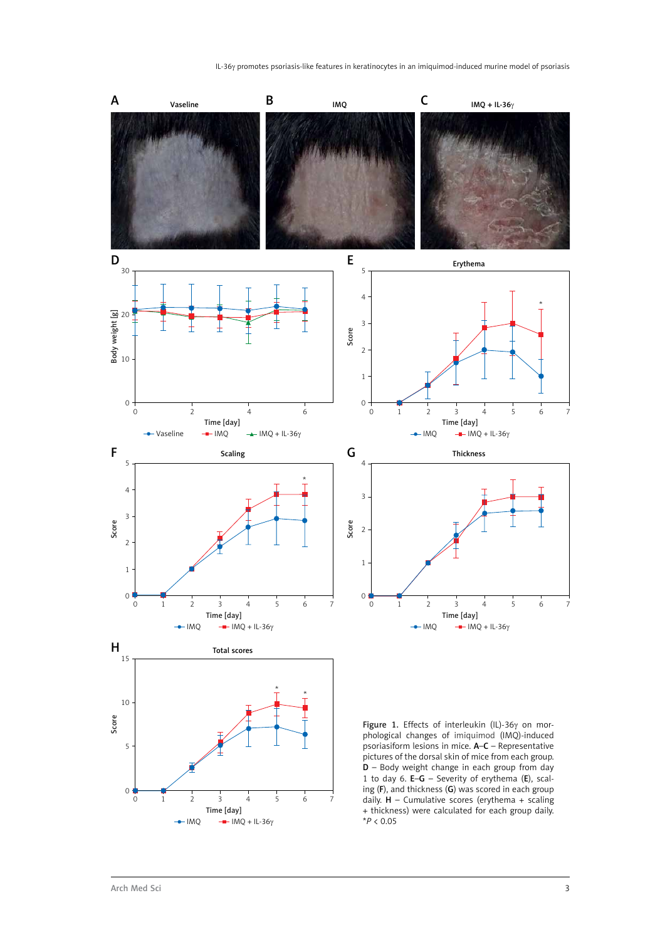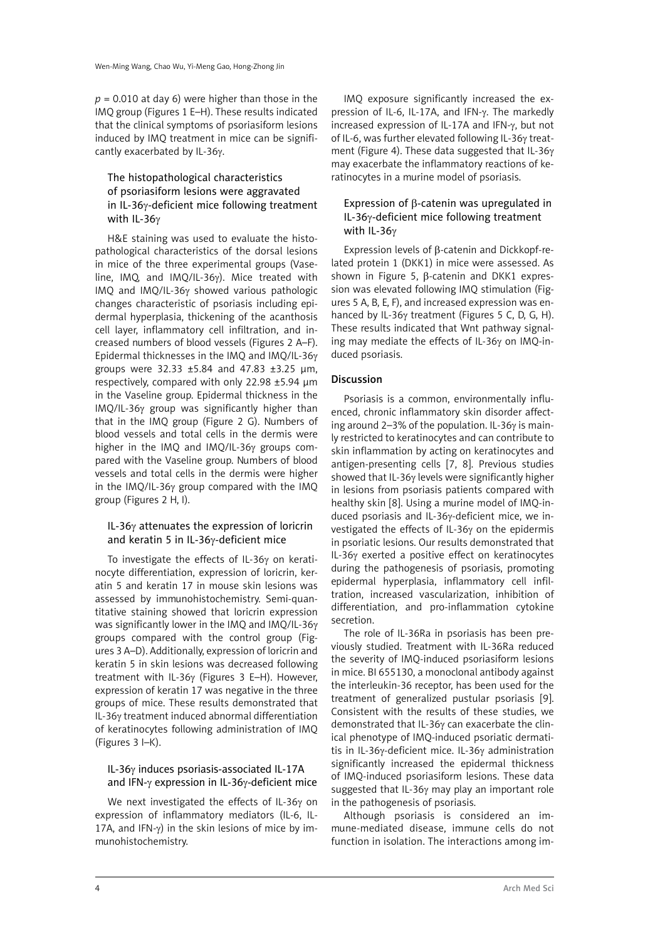$p = 0.010$  at day 6) were higher than those in the IMQ group (Figures 1 E–H). These results indicated that the clinical symptoms of psoriasiform lesions induced by IMQ treatment in mice can be significantly exacerbated by IL-36γ.

## The histopathological characteristics of psoriasiform lesions were aggravated in IL-36γ-deficient mice following treatment with IL-36γ

H&E staining was used to evaluate the histopathological characteristics of the dorsal lesions in mice of the three experimental groups (Vaseline, IMQ, and IMQ/IL-36γ). Mice treated with IMQ and IMQ/IL-36γ showed various pathologic changes characteristic of psoriasis including epidermal hyperplasia, thickening of the acanthosis cell layer, inflammatory cell infiltration, and increased numbers of blood vessels (Figures 2 A–F). Epidermal thicknesses in the IMQ and IMQ/IL-36γ groups were 32.33 ±5.84 and 47.83 ±3.25 µm, respectively, compared with only 22.98 ±5.94 µm in the Vaseline group. Epidermal thickness in the IMQ/IL-36γ group was significantly higher than that in the IMQ group (Figure 2 G). Numbers of blood vessels and total cells in the dermis were higher in the IMQ and IMQ/IL-36γ groups compared with the Vaseline group. Numbers of blood vessels and total cells in the dermis were higher in the IMQ/IL-36γ group compared with the IMQ group (Figures 2 H, I).

# IL-36γ attenuates the expression of loricrin and keratin 5 in IL-36γ-deficient mice

To investigate the effects of IL-36γ on keratinocyte differentiation, expression of loricrin, keratin 5 and keratin 17 in mouse skin lesions was assessed by immunohistochemistry. Semi-quantitative staining showed that loricrin expression was significantly lower in the IMQ and IMQ/IL-36γ groups compared with the control group (Figures 3 A–D). Additionally, expression of loricrin and keratin 5 in skin lesions was decreased following treatment with IL-36γ (Figures 3 E–H). However, expression of keratin 17 was negative in the three groups of mice. These results demonstrated that IL-36γ treatment induced abnormal differentiation of keratinocytes following administration of IMQ (Figures 3 I–K).

## IL-36γ induces psoriasis-associated IL-17A and IFN-γ expression in IL-36γ-deficient mice

We next investigated the effects of IL-36γ on expression of inflammatory mediators (IL-6, IL-17A, and IFN- $\gamma$ ) in the skin lesions of mice by immunohistochemistry.

IMQ exposure significantly increased the expression of IL-6, IL-17A, and IFN-γ. The markedly increased expression of IL-17A and IFN-γ, but not of IL-6, was further elevated following IL-36γ treatment (Figure 4). These data suggested that IL-36γ may exacerbate the inflammatory reactions of keratinocytes in a murine model of psoriasis.

## Expression of β-catenin was upregulated in IL-36γ-deficient mice following treatment with IL-36γ

Expression levels of β-catenin and Dickkopf-related protein 1 (DKK1) in mice were assessed. As shown in Figure 5, β-catenin and DKK1 expression was elevated following IMQ stimulation (Figures 5 A, B, E, F), and increased expression was enhanced by IL-36γ treatment (Figures 5 C, D, G, H). These results indicated that Wnt pathway signaling may mediate the effects of IL-36γ on IMQ-induced psoriasis.

# Discussion

Psoriasis is a common, environmentally influenced, chronic inflammatory skin disorder affecting around 2–3% of the population. IL-36γ is mainly restricted to keratinocytes and can contribute to skin inflammation by acting on keratinocytes and antigen-presenting cells [7, 8]. Previous studies showed that IL-36γ levels were significantly higher in lesions from psoriasis patients compared with healthy skin [8]. Using a murine model of IMQ-induced psoriasis and IL-36γ-deficient mice, we investigated the effects of IL-36γ on the epidermis in psoriatic lesions. Our results demonstrated that IL-36γ exerted a positive effect on keratinocytes during the pathogenesis of psoriasis, promoting epidermal hyperplasia, inflammatory cell infiltration, increased vascularization, inhibition of differentiation, and pro-inflammation cytokine secretion.

The role of IL-36Ra in psoriasis has been previously studied. Treatment with IL-36Ra reduced the severity of IMQ-induced psoriasiform lesions in mice. BI 655130, a monoclonal antibody against the interleukin-36 receptor, has been used for the treatment of generalized pustular psoriasis [9]. Consistent with the results of these studies, we demonstrated that IL-36γ can exacerbate the clinical phenotype of IMQ-induced psoriatic dermatitis in IL-36γ-deficient mice. IL-36γ administration significantly increased the epidermal thickness of IMQ-induced psoriasiform lesions. These data suggested that IL-36γ may play an important role in the pathogenesis of psoriasis.

Although psoriasis is considered an immune-mediated disease, immune cells do not function in isolation. The interactions among im-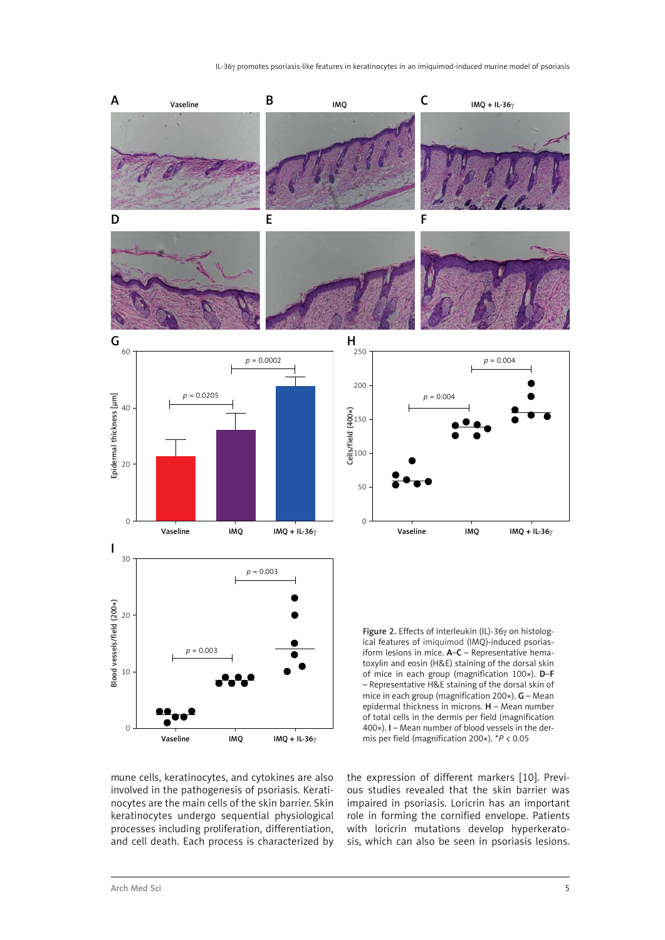

mune cells, keratinocytes, and cytokines are also involved in the pathogenesis of psoriasis. Keratinocytes are the main cells of the skin barrier. Skin keratinocytes undergo sequential physiological processes including proliferation, differentiation, and cell death. Each process is characterized by the expression of different markers [10]. Previous studies revealed that the skin barrier was impaired in psoriasis. Loricrin has an important role in forming the cornified envelope. Patients with loricrin mutations develop hyperkeratosis, which can also be seen in psoriasis lesions.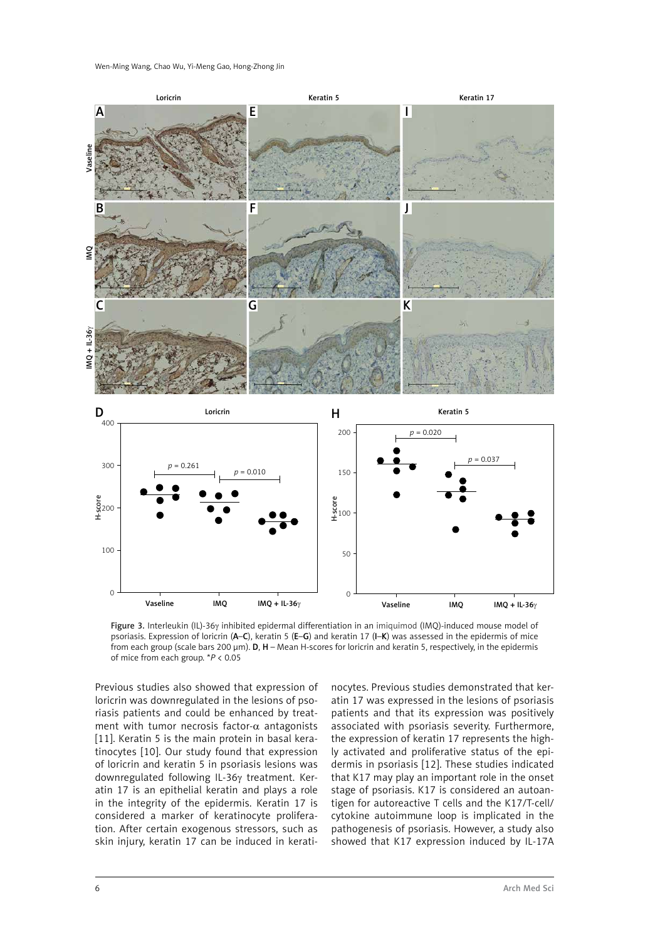

Figure 3. Interleukin (IL)-36γ inhibited epidermal differentiation in an imiquimod (IMQ)-induced mouse model of psoriasis. Expression of loricrin (A–C), keratin 5 (E–G) and keratin 17 (I–K) was assessed in the epidermis of mice from each group (scale bars 200  $\mu$ m). **D, H** – Mean H-scores for loricrin and keratin 5, respectively, in the epidermis of mice from each group. \**P* < 0.05

Previous studies also showed that expression of loricrin was downregulated in the lesions of psoriasis patients and could be enhanced by treatment with tumor necrosis factor- $\alpha$  antagonists [11]. Keratin 5 is the main protein in basal keratinocytes [10]. Our study found that expression of loricrin and keratin 5 in psoriasis lesions was downregulated following IL-36γ treatment. Keratin 17 is an epithelial keratin and plays a role in the integrity of the epidermis. Keratin 17 is considered a marker of keratinocyte proliferation. After certain exogenous stressors, such as skin injury, keratin 17 can be induced in kerati-

nocytes. Previous studies demonstrated that keratin 17 was expressed in the lesions of psoriasis patients and that its expression was positively associated with psoriasis severity. Furthermore, the expression of keratin 17 represents the highly activated and proliferative status of the epidermis in psoriasis [12]. These studies indicated that K17 may play an important role in the onset stage of psoriasis. K17 is considered an autoantigen for autoreactive T cells and the K17/T-cell/ cytokine autoimmune loop is implicated in the pathogenesis of psoriasis. However, a study also showed that K17 expression induced by IL-17A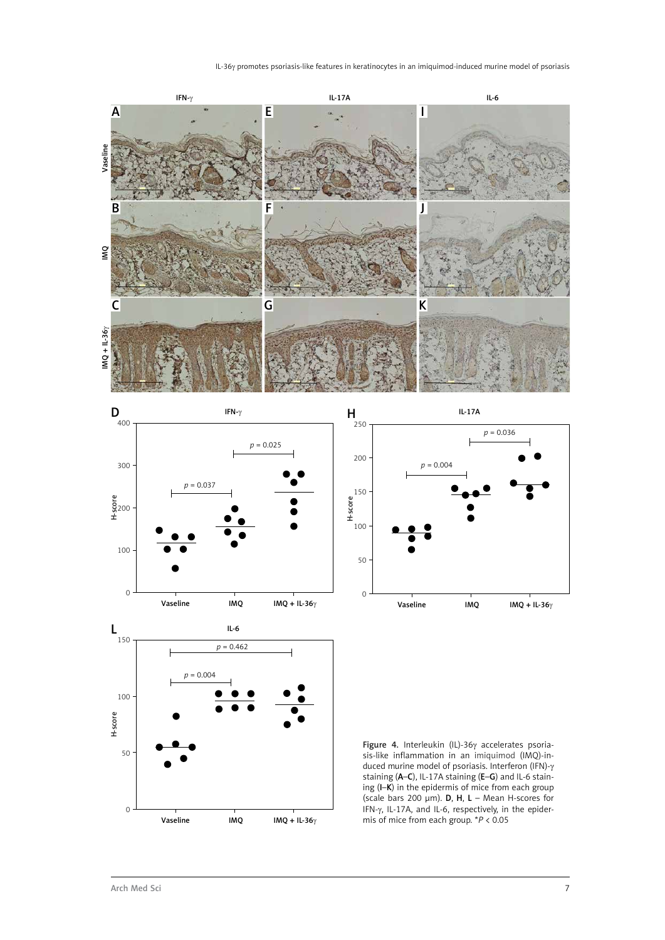







Figure 4. Interleukin (IL)-36γ accelerates psoriasis-like inflammation in an imiquimod (IMQ)-induced murine model of psoriasis. Interferon (IFN)-γ staining (A–C), IL-17A staining (E–G) and IL-6 staining (I–K) in the epidermis of mice from each group (scale bars 200  $\mu$ m). **D**, **H**, **L** – Mean H-scores for IFN-γ, IL-17A, and IL-6, respectively, in the epidermis of mice from each group. \**P* < 0.05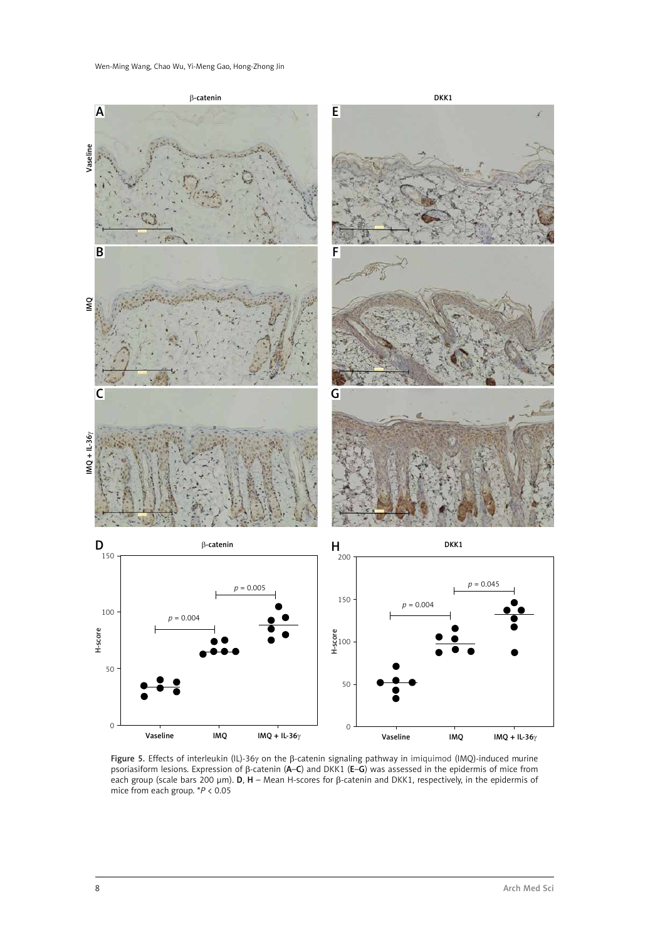

Figure 5. Effects of interleukin (IL)-36γ on the β-catenin signaling pathway in imiquimod (IMQ)-induced murine psoriasiform lesions. Expression of β-catenin (A–C) and DKK1 (E–G) was assessed in the epidermis of mice from each group (scale bars 200  $\mu$ m). D, H – Mean H-scores for  $\beta$ -catenin and DKK1, respectively, in the epidermis of mice from each group. \**P* < 0.05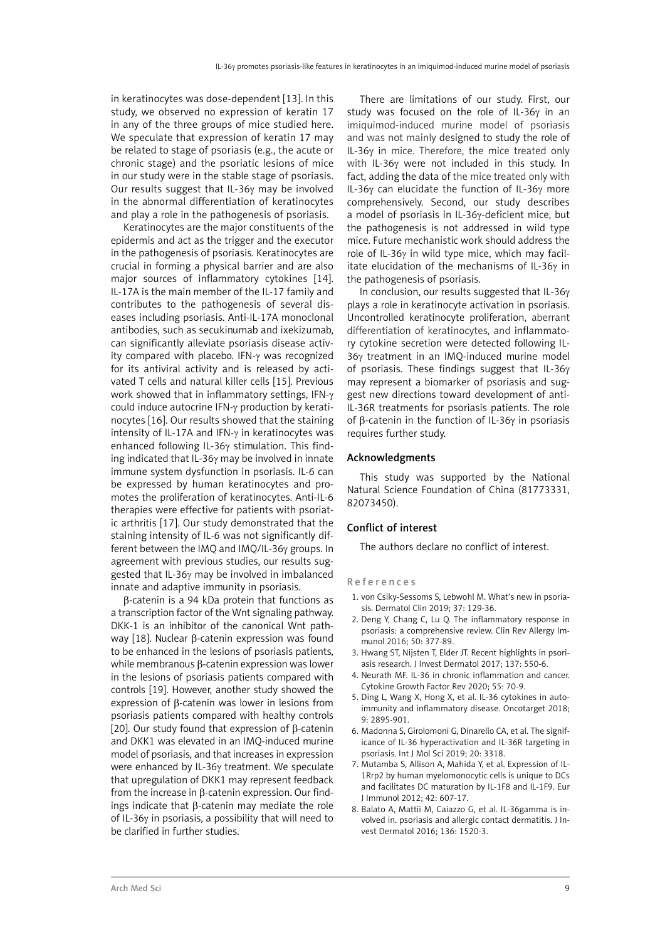in keratinocytes was dose-dependent [13]. In this study, we observed no expression of keratin 17 in any of the three groups of mice studied here. We speculate that expression of keratin 17 may be related to stage of psoriasis (e.g., the acute or chronic stage) and the psoriatic lesions of mice in our study were in the stable stage of psoriasis. Our results suggest that IL-36γ may be involved in the abnormal differentiation of keratinocytes and play a role in the pathogenesis of psoriasis.

Keratinocytes are the major constituents of the epidermis and act as the trigger and the executor in the pathogenesis of psoriasis. Keratinocytes are crucial in forming a physical barrier and are also major sources of inflammatory cytokines [14]. IL-17A is the main member of the IL-17 family and contributes to the pathogenesis of several diseases including psoriasis. Anti-IL-17A monoclonal antibodies, such as secukinumab and ixekizumab, can significantly alleviate psoriasis disease activity compared with placebo. IFN-γ was recognized for its antiviral activity and is released by activated T cells and natural killer cells [15]. Previous work showed that in inflammatory settings, IFN-γ could induce autocrine IFN-γ production by keratinocytes [16]. Our results showed that the staining intensity of IL-17A and IFN-γ in keratinocytes was enhanced following IL-36γ stimulation. This finding indicated that IL-36γ may be involved in innate immune system dysfunction in psoriasis. IL-6 can be expressed by human keratinocytes and promotes the proliferation of keratinocytes. Anti-IL-6 therapies were effective for patients with psoriatic arthritis [17]. Our study demonstrated that the staining intensity of IL-6 was not significantly different between the IMQ and IMQ/IL-36γ groups. In agreement with previous studies, our results suggested that IL-36γ may be involved in imbalanced innate and adaptive immunity in psoriasis.

β-catenin is a 94 kDa protein that functions as a transcription factor of the Wnt signaling pathway. DKK-1 is an inhibitor of the canonical Wnt pathway [18]. Nuclear β-catenin expression was found to be enhanced in the lesions of psoriasis patients, while membranous β-catenin expression was lower in the lesions of psoriasis patients compared with controls [19]. However, another study showed the expression of β-catenin was lower in lesions from psoriasis patients compared with healthy controls [20]. Our study found that expression of β-catenin and DKK1 was elevated in an IMQ-induced murine model of psoriasis, and that increases in expression were enhanced by IL-36γ treatment. We speculate that upregulation of DKK1 may represent feedback from the increase in β-catenin expression. Our findings indicate that β-catenin may mediate the role of IL-36γ in psoriasis, a possibility that will need to be clarified in further studies.

There are limitations of our study. First, our study was focused on the role of IL-36γ in an imiquimod-induced murine model of psoriasis and was not mainly designed to study the role of IL-36γ in mice. Therefore, the mice treated only with IL-36γ were not included in this study. In fact, adding the data of the mice treated only with IL-36γ can elucidate the function of IL-36γ more comprehensively. Second, our study describes a model of psoriasis in IL-36γ-deficient mice, but the pathogenesis is not addressed in wild type mice. Future mechanistic work should address the role of IL-36γ in wild type mice, which may facilitate elucidation of the mechanisms of IL-36γ in the pathogenesis of psoriasis.

In conclusion, our results suggested that IL-36γ plays a role in keratinocyte activation in psoriasis. Uncontrolled keratinocyte proliferation, aberrant differentiation of keratinocytes, and inflammatory cytokine secretion were detected following IL-36γ treatment in an IMQ-induced murine model of psoriasis. These findings suggest that IL-36γ may represent a biomarker of psoriasis and suggest new directions toward development of anti-IL-36R treatments for psoriasis patients. The role of β-catenin in the function of IL-36γ in psoriasis requires further study.

#### Acknowledgments

This study was supported by the National Natural Science Foundation of China (81773331, 82073450).

#### Conflict of interest

The authors declare no conflict of interest.

#### References

- 1. von Csiky-Sessoms S, Lebwohl M. What's new in psoriasis. Dermatol Clin 2019; 37: 129-36.
- 2. Deng Y, Chang C, Lu Q. The inflammatory response in psoriasis: a comprehensive review. Clin Rev Allergy Immunol 2016; 50: 377-89.
- 3. Hwang ST, Nijsten T, Elder JT. Recent highlights in psoriasis research. J Invest Dermatol 2017; 137: 550-6.
- 4. Neurath MF. IL-36 in chronic inflammation and cancer. Cytokine Growth Factor Rev 2020; 55: 70-9.
- 5. Ding L, Wang X, Hong X, et al. IL-36 cytokines in autoimmunity and inflammatory disease. Oncotarget 2018; 9: 2895-901.
- 6. Madonna S, Girolomoni G, Dinarello CA, et al. The significance of IL-36 hyperactivation and IL-36R targeting in psoriasis. Int J Mol Sci 2019; 20: 3318.
- 7. Mutamba S, Allison A, Mahida Y, et al. Expression of IL-1Rrp2 by human myelomonocytic cells is unique to DCs and facilitates DC maturation by IL-1F8 and IL-1F9. Eur J Immunol 2012; 42: 607-17.
- 8. Balato A, Mattii M, Caiazzo G, et al. IL-36gamma is involved in. psoriasis and allergic contact dermatitis. J Invest Dermatol 2016; 136: 1520-3.